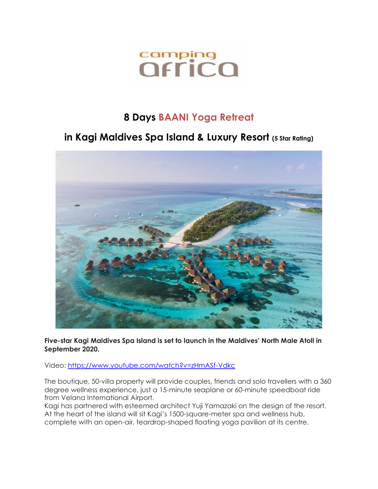# comping<br>*<u>Offica</u>*

## **8 Days BAANI Yoga Retreat**

### **in Kagi Maldives Spa Island & Luxury Resort (5 Star Rating)**



**Five-star Kagi Maldives Spa Island is set to launch in the Maldives' North Male Atoll in September 2020.**

Video:<https://www.youtube.com/watch?v=zHmASf-Vdkc>

The boutique, 50-villa property will provide couples, friends and solo travellers with a 360 degree wellness experience, just a 15-minute seaplane or 60-minute speedboat ride from Velana International Airport.

Kagi has partnered with esteemed architect Yuji Yamazaki on the design of the resort. At the heart of the island will sit Kagi's 1500-square-meter spa and wellness hub, complete with an open-air, teardrop-shaped floating yoga pavilion at its centre.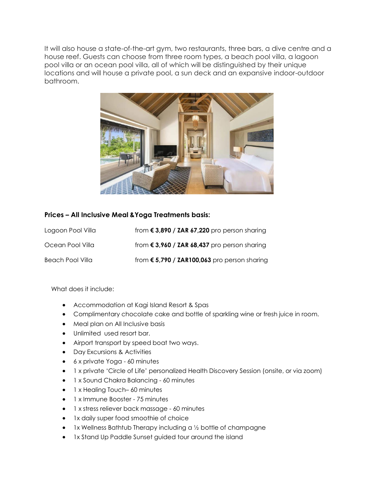It will also house a state-of-the-art gym, two restaurants, three bars, a dive centre and a house reef. Guests can choose from three room types, a beach pool villa, a lagoon pool villa or an ocean pool villa, all of which will be distinguished by their unique locations and will house a private pool, a sun deck and an expansive indoor-outdoor bathroom.



#### **Prices – All Inclusive Meal &Yoga Treatments basis:**

| Logoon Pool Villa | from $\epsilon$ 3,890 / ZAR 67,220 pro person sharing |
|-------------------|-------------------------------------------------------|
| Ocean Pool Villa  | from $\epsilon$ 3,960 / ZAR 68,437 pro person sharing |
| Beach Pool Villa  | from $\epsilon$ 5,790 / ZAR100,063 pro person sharing |

What does it include:

- Accommodation at Kagi Island Resort & Spas
- Complimentary chocolate cake and bottle of sparkling wine or fresh juice in room.
- Meal plan on All Inclusive basis
- Unlimited used resort bar.
- Airport transport by speed boat two ways.
- Day Excursions & Activities
- 6 x private Yoga 60 minutes
- 1 x private 'Circle of Life' personalized Health Discovery Session (onsite, or via zoom)
- 1 x Sound Chakra Balancing 60 minutes
- 1 x Healing Touch– 60 minutes
- 1 x Immune Booster 75 minutes
- 1 x stress reliever back massage 60 minutes
- 1x daily super food smoothie of choice
- 1x Wellness Bathtub Therapy including a 1/2 bottle of champagne
- 1x Stand Up Paddle Sunset guided tour around the island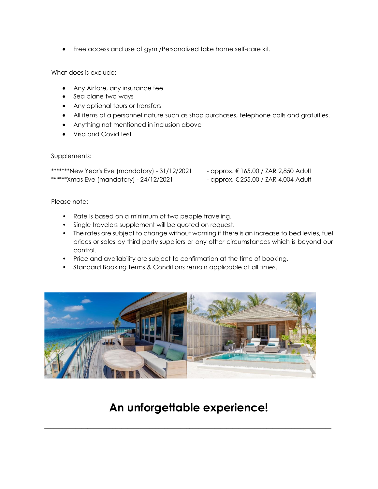• Free access and use of gym /Personalized take home self-care kit.

What does is exclude:

- Any Airfare, any insurance fee
- Sea plane two ways
- Any optional tours or transfers
- All items of a personnel nature such as shop purchases, telephone calls and gratuities.
- Anything not mentioned in inclusion above
- Visa and Covid test

#### Supplements:

\*\*\*\*\*\*\*New Year's Eve (mandatory) - 31/12/2021 - approx. € 165.00 / ZAR 2,850 Adult \*\*\*\*\*\*Xmas Eve (mandatory) - 24/12/2021 - approx. € 255.00 / ZAR 4,004 Adult

- 
- 

Please note:

- Rate is based on a minimum of two people traveling.
- Single travelers supplement will be quoted on request.
- The rates are subject to change without warning if there is an increase to bed levies, fuel prices or sales by third party suppliers or any other circumstances which is beyond our control.
- Price and availability are subject to confirmation at the time of booking.
- Standard Booking Terms & Conditions remain applicable at all times.



## **An unforgettable experience!**

\_\_\_\_\_\_\_\_\_\_\_\_\_\_\_\_\_\_\_\_\_\_\_\_\_\_\_\_\_\_\_\_\_\_\_\_\_\_\_\_\_\_\_\_\_\_\_\_\_\_\_\_\_\_\_\_\_\_\_\_\_\_\_\_\_\_\_\_\_\_\_\_\_\_\_\_\_\_\_\_\_\_\_\_\_\_\_\_\_\_\_\_\_